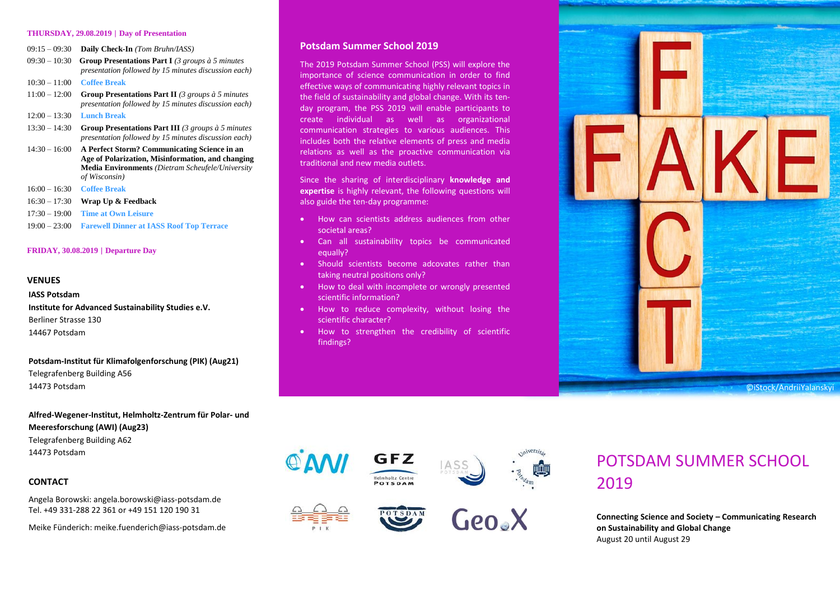#### **THURSDAY, 29.08.2019** | **Day of Presentation**

- 09:15 09:30 **Daily Check-In** *(Tom Bruhn/IASS)*
- 09:30 10:30 **Group Presentations Part I** *(3 groups à 5 minutes presentation followed by 15 minutes discussion each)* 10:30 – 11:00 **Coffee Break**
- 11:00 12:00 **Group Presentations Part II** *(3 groups à 5 minutes presentation followed by 15 minutes discussion each)*
- 12:00 13:30 **Lunch Break**
- 13:30 14:30 **Group Presentations Part III** *(3 groups à 5 minutes presentation followed by 15 minutes discussion each)*
- 14:30 16:00 **A Perfect Storm? Communicating Science in an Age of Polarization, Misinformation, and changing Media Environments** *(Dietram Scheufele/University of Wisconsin)*
- 16:00 16:30 **Coffee Break**
- 16:30 17:30 **Wrap Up & Feedback**
- 17:30 19:00 **Time at Own Leisure**
- 19:00 23:00 **Farewell Dinner at IASS Roof Top Terrace**

# **FRIDAY, 30.08.2019** | **Departure Day**

# **VENUES**

# **IASS Potsdam**

**Institute for Advanced Sustainability Studies e.V.** Berliner Strasse 130 14467 Potsdam

**Potsdam-Institut für Klimafolgenforschung (PIK) (Aug21)** Telegrafenberg Building A56 14473 Potsdam

**Alfred-Wegener-Institut, Helmholtz-Zentrum für Polar- und Meeresforschung (AWI) (Aug23)** Telegrafenberg Building A62 14473 Potsdam

# **CONTACT**

Angela Borowski: angela.borowski@iass-potsdam.de Tel. +49 331-288 22 361 or +49 151 120 190 31

Meike Fünderich: meike.fuenderich@iass-potsdam.de

# **Potsdam Summer School 2019**

The 2019 Potsdam Summer School (PSS) will explore the importance of science communication in order to find effective ways of communicating highly relevant topics in the field of sustainability and global change. With its tenday program, the PSS 2019 will enable participants to create individual as well as organizational communication strategies to various audiences. This includes both the relative elements of press and media relations as well as the proactive communication via traditional and new media outlets.

Since the sharing of interdisciplinary **knowledge and expertise** is highly relevant, the following questions will also guide the ten-day programme:

- How can scientists address audiences from other societal areas?
- Can all sustainability topics be communicated equally?
- Should scientists become adcovates rather than taking neutral positions only?
- How to deal with incomplete or wrongly presented scientific information?
- How to reduce complexity, without losing the scientific character?
- How to strengthen the credibility of scientific findings?

©iStock/AndriiYalanskyi









# POTSDAM SUMMER SCHOOL 2019

**Connecting Science and Society – Communicating Research on Sustainability and Global Change** August 20 until August 29